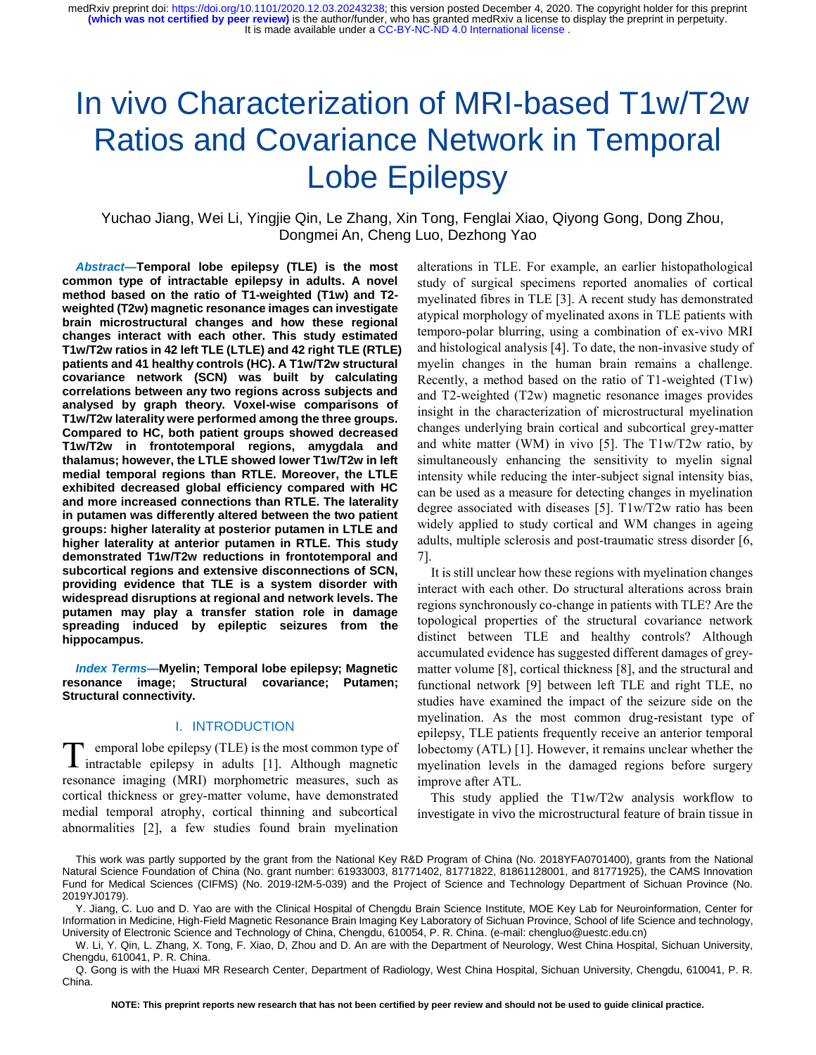# In vivo Characterization of MRI-based T1w/T2w Ratios and Covariance Network in Temporal Lobe Epilepsy

Yuchao Jiang, Wei Li, Yingjie Qin, Le Zhang, Xin Tong, Fenglai Xiao, Qiyong Gong, Dong Zhou, Dongmei An, Cheng Luo, Dezhong Yao

*Abstract***—Temporal lobe epilepsy (TLE) is the most common type of intractable epilepsy in adults. A novel method based on the ratio of T1-weighted (T1w) and T2 weighted (T2w) magnetic resonance images can investigate brain microstructural changes and how these regional changes interact with each other. This study estimated T1w/T2w ratios in 42 left TLE (LTLE) and 42 right TLE (RTLE) patients and 41 healthy controls (HC). A T1w/T2w structural covariance network (SCN) was built by calculating correlations between any two regions across subjects and analysed by graph theory. Voxel-wise comparisons of T1w/T2w laterality were performed among the three groups. Compared to HC, both patient groups showed decreased T1w/T2w in frontotemporal regions, amygdala and thalamus; however, the LTLE showed lower T1w/T2w in left medial temporal regions than RTLE. Moreover, the LTLE exhibited decreased global efficiency compared with HC and more increased connections than RTLE. The laterality in putamen was differently altered between the two patient groups: higher laterality at posterior putamen in LTLE and higher laterality at anterior putamen in RTLE. This study demonstrated T1w/T2w reductions in frontotemporal and subcortical regions and extensive disconnections of SCN, providing evidence that TLE is a system disorder with widespread disruptions at regional and network levels. The putamen may play a transfer station role in damage spreading induced by epileptic seizures from the hippocampus.**

*Index Terms***—Myelin; Temporal lobe epilepsy; Magnetic resonance image; Structural covariance; Putamen; Structural connectivity.**

#### I. INTRODUCTION

emporal lobe epilepsy (TLE) is the most common type of T emporal lobe epilepsy (TLE) is the most common type of intractable epilepsy in adults [1]. Although magnetic resonance imaging (MRI) morphometric measures, such as cortical thickness or grey-matter volume, have demonstrated medial temporal atrophy, cortical thinning and subcortical abnormalities [2], a few studies found brain myelination

alterations in TLE. For example, an earlier histopathological study of surgical specimens reported anomalies of cortical myelinated fibres in TLE [3]. A recent study has demonstrated atypical morphology of myelinated axons in TLE patients with temporo-polar blurring, using a combination of ex-vivo MRI and histological analysis [4]. To date, the non-invasive study of myelin changes in the human brain remains a challenge. Recently, a method based on the ratio of T1-weighted (T1w) and T2-weighted (T2w) magnetic resonance images provides insight in the characterization of microstructural myelination changes underlying brain cortical and subcortical grey-matter and white matter (WM) in vivo [5]. The T1w/T2w ratio, by simultaneously enhancing the sensitivity to myelin signal intensity while reducing the inter-subject signal intensity bias, can be used as a measure for detecting changes in myelination degree associated with diseases [5]. T1w/T2w ratio has been widely applied to study cortical and WM changes in ageing adults, multiple sclerosis and post-traumatic stress disorder [6, 7].

It is still unclear how these regions with myelination changes interact with each other. Do structural alterations across brain regions synchronously co-change in patients with TLE? Are the topological properties of the structural covariance network distinct between TLE and healthy controls? Although accumulated evidence has suggested different damages of greymatter volume [8], cortical thickness [8], and the structural and functional network [9] between left TLE and right TLE, no studies have examined the impact of the seizure side on the myelination. As the most common drug-resistant type of epilepsy, TLE patients frequently receive an anterior temporal lobectomy (ATL) [1]. However, it remains unclear whether the myelination levels in the damaged regions before surgery improve after ATL.

This study applied the T1w/T2w analysis workflow to investigate in vivo the microstructural feature of brain tissue in

This work was partly supported by the grant from the National Key R&D Program of China (No. 2018YFA0701400), grants from the National Natural Science Foundation of China (No. grant number: 61933003, 81771402, 81771822, 81861128001, and 81771925), the CAMS Innovation Fund for Medical Sciences (CIFMS) (No. 2019-I2M-5-039) and the Project of Science and Technology Department of Sichuan Province (No. 2019YJ0179).

Y. Jiang, C. Luo and D. Yao are with the Clinical Hospital of Chengdu Brain Science Institute, MOE Key Lab for Neuroinformation, Center for Information in Medicine, High-Field Magnetic Resonance Brain Imaging Key Laboratory of Sichuan Province, School of life Science and technology, University of Electronic Science and Technology of China, Chengdu, 610054, P. R. China. (e-mail: [chengluo@uestc.edu.cn\)](mailto:chengluo@uestc.edu.cn)

W. Li, Y. Qin, L. Zhang, X. Tong, F. Xiao, D, Zhou and D. An are with the Department of Neurology, West China Hospital, Sichuan University, Chengdu, 610041, P. R. China.

Q. Gong is with the Huaxi MR Research Center, Department of Radiology, West China Hospital, Sichuan University, Chengdu, 610041, P. R. China.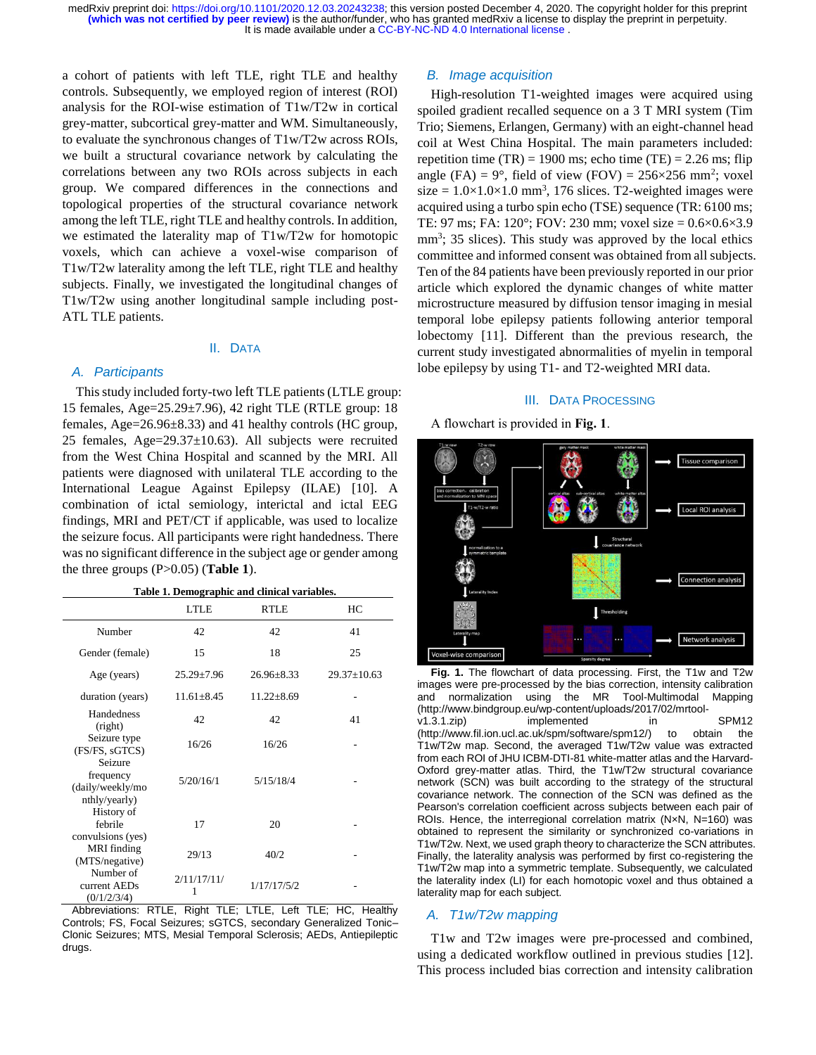a cohort of patients with left TLE, right TLE and healthy controls. Subsequently, we employed region of interest (ROI) analysis for the ROI-wise estimation of T1w/T2w in cortical grey-matter, subcortical grey-matter and WM. Simultaneously, to evaluate the synchronous changes of T1w/T2w across ROIs, we built a structural covariance network by calculating the correlations between any two ROIs across subjects in each group. We compared differences in the connections and topological properties of the structural covariance network among the left TLE, right TLE and healthy controls. In addition, we estimated the laterality map of T1w/T2w for homotopic voxels, which can achieve a voxel-wise comparison of T1w/T2w laterality among the left TLE, right TLE and healthy subjects. Finally, we investigated the longitudinal changes of T1w/T2w using another longitudinal sample including post-ATL TLE patients.

## II. DATA

## *A. Participants*

This study included forty-two left TLE patients (LTLE group: 15 females, Age=25.29±7.96), 42 right TLE (RTLE group: 18 females, Age=26.96±8.33) and 41 healthy controls (HC group, 25 females, Age=29.37±10.63). All subjects were recruited from the West China Hospital and scanned by the MRI. All patients were diagnosed with unilateral TLE according to the International League Against Epilepsy (ILAE) [10]. A combination of ictal semiology, interictal and ictal EEG findings, MRI and PET/CT if applicable, was used to localize the seizure focus. All participants were right handedness. There was no significant difference in the subject age or gender among the three groups (P>0.05) (**Table 1**).

| Table 1. Demographic and clinical variables. |
|----------------------------------------------|
|----------------------------------------------|

|                                                           | <b>LTLE</b>      | <b>RTLE</b>      | HС                |
|-----------------------------------------------------------|------------------|------------------|-------------------|
| Number                                                    | 42               | 42               | 41                |
| Gender (female)                                           | 15               | 18               | 25                |
| Age (years)                                               | $25.29 \pm 7.96$ | $26.96 + 8.33$   | $29.37 \pm 10.63$ |
| duration (years)                                          | $11.61 \pm 8.45$ | $11.22 \pm 8.69$ |                   |
| Handedness<br>(right)                                     | 42               | 42               | 41                |
| Seizure type<br>(FS/FS, sGTCS)                            | 16/26            | 16/26            |                   |
| Seizure<br>frequency<br>(daily/weekly/mo<br>nthly/yearly) | 5/20/16/1        | 5/15/18/4        |                   |
| History of<br>febrile<br>convulsions (yes)                | 17               | 20               |                   |
| <b>MRI</b> finding<br>(MTS/negative)                      | 29/13            | 40/2             |                   |
| Number of<br>current AEDs<br>(0/1/2/3/4)                  | 2/11/17/11/<br>1 | 1/17/17/5/2      |                   |

Abbreviations: RTLE, Right TLE; LTLE, Left TLE; HC, Healthy Controls; FS, Focal Seizures; sGTCS, secondary Generalized Tonic– Clonic Seizures; MTS, Mesial Temporal Sclerosis; AEDs, Antiepileptic drugs.

## *B. Image acquisition*

High-resolution T1-weighted images were acquired using spoiled gradient recalled sequence on a 3 T MRI system (Tim Trio; Siemens, Erlangen, Germany) with an eight-channel head coil at West China Hospital. The main parameters included: repetition time  $(TR) = 1900$  ms; echo time  $(TE) = 2.26$  ms; flip angle (FA) =  $9^{\circ}$ , field of view (FOV) =  $256 \times 256$  mm<sup>2</sup>; voxel  $size = 1.0 \times 1.0 \times 1.0$  mm<sup>3</sup>, 176 slices. T2-weighted images were acquired using a turbo spin echo (TSE) sequence (TR: 6100 ms; TE: 97 ms; FA:  $120^{\circ}$ ; FOV: 230 mm; voxel size =  $0.6 \times 0.6 \times 3.9$ mm<sup>3</sup>; 35 slices). This study was approved by the local ethics committee and informed consent was obtained from all subjects. Ten of the 84 patients have been previously reported in our prior article which explored the dynamic changes of white matter microstructure measured by diffusion tensor imaging in mesial temporal lobe epilepsy patients following anterior temporal lobectomy [11]. Different than the previous research, the current study investigated abnormalities of myelin in temporal lobe epilepsy by using T1- and T2-weighted MRI data.

#### III. DATA PROCESSING

A flowchart is provided in **Fig. 1**.



**Fig. 1.** The flowchart of data processing. First, the T1w and T2w images were pre-processed by the bias correction, intensity calibration and normalization using the MR Tool-Multimodal Mapping (http://www.bindgroup.eu/wp-content/uploads/2017/02/mrtoolv1.3.1.zip) implemented in SPM12 (http://www.fil.ion.ucl.ac.uk/spm/software/spm12/) to obtain the T1w/T2w map. Second, the averaged T1w/T2w value was extracted from each ROI of JHU ICBM-DTI-81 white-matter atlas and the Harvard-Oxford grey-matter atlas. Third, the T1w/T2w structural covariance network (SCN) was built according to the strategy of the structural covariance network. The connection of the SCN was defined as the Pearson's correlation coefficient across subjects between each pair of ROIs. Hence, the interregional correlation matrix (NxN, N=160) was obtained to represent the similarity or synchronized co-variations in T1w/T2w. Next, we used graph theory to characterize the SCN attributes. Finally, the laterality analysis was performed by first co-registering the T1w/T2w map into a symmetric template. Subsequently, we calculated the laterality index (LI) for each homotopic voxel and thus obtained a laterality map for each subject.

## *A. T1w/T2w mapping*

T1w and T2w images were pre-processed and combined, using a dedicated workflow outlined in previous studies [12]. This process included bias correction and intensity calibration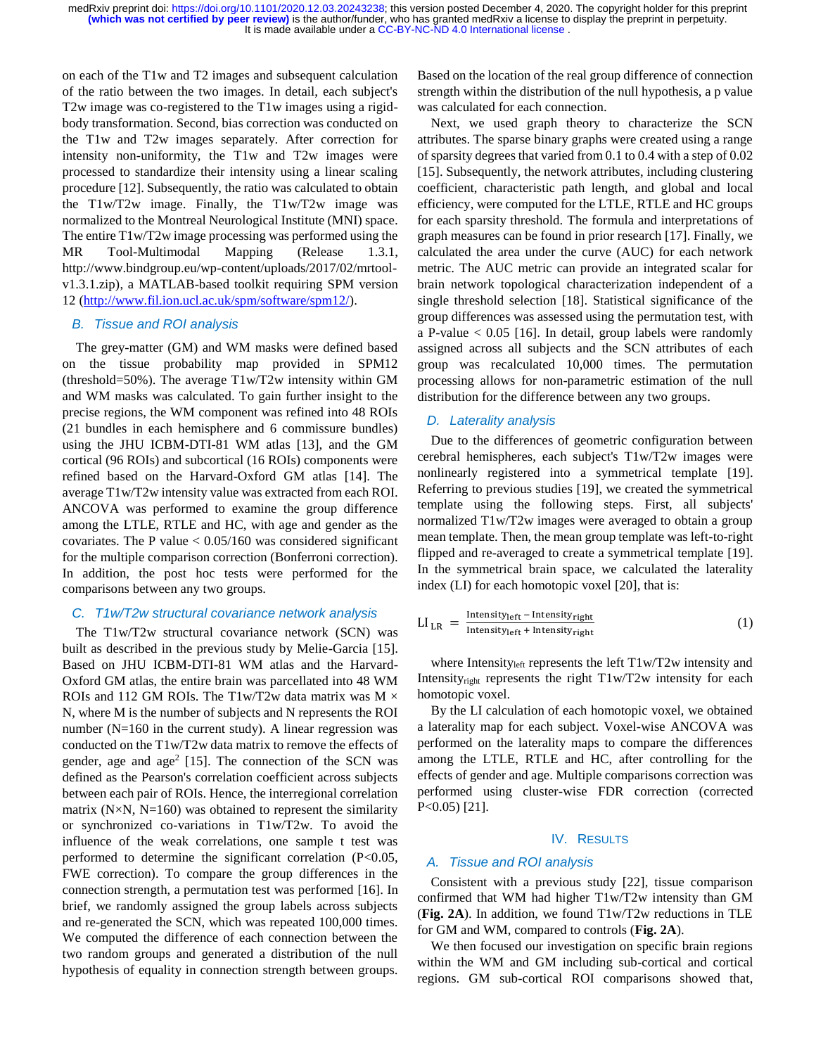on each of the T1w and T2 images and subsequent calculation of the ratio between the two images. In detail, each subject's T2w image was co-registered to the T1w images using a rigidbody transformation. Second, bias correction was conducted on the T1w and T2w images separately. After correction for intensity non-uniformity, the T1w and T2w images were processed to standardize their intensity using a linear scaling procedure [12]. Subsequently, the ratio was calculated to obtain the T1w/T2w image. Finally, the T1w/T2w image was normalized to the Montreal Neurological Institute (MNI) space. The entire T1w/T2w image processing was performed using the MR Tool-Multimodal Mapping (Release 1.3.1, http://www.bindgroup.eu/wp-content/uploads/2017/02/mrtoolv1.3.1.zip), a MATLAB-based toolkit requiring SPM version 12 [\(http://www.fil.ion.ucl.ac.uk/spm/software/spm12/\)](http://www.fil.ion.ucl.ac.uk/spm/software/spm12/).

# *B. Tissue and ROI analysis*

The grey-matter (GM) and WM masks were defined based on the tissue probability map provided in SPM12 (threshold=50%). The average T1w/T2w intensity within GM and WM masks was calculated. To gain further insight to the precise regions, the WM component was refined into 48 ROIs (21 bundles in each hemisphere and 6 commissure bundles) using the JHU ICBM-DTI-81 WM atlas [13], and the GM cortical (96 ROIs) and subcortical (16 ROIs) components were refined based on the Harvard-Oxford GM atlas [14]. The average T1w/T2w intensity value was extracted from each ROI. ANCOVA was performed to examine the group difference among the LTLE, RTLE and HC, with age and gender as the covariates. The P value  $< 0.05/160$  was considered significant for the multiple comparison correction (Bonferroni correction). In addition, the post hoc tests were performed for the comparisons between any two groups.

#### *C. T1w/T2w structural covariance network analysis*

The T1w/T2w structural covariance network (SCN) was built as described in the previous study by Melie-Garcia [15]. Based on JHU ICBM-DTI-81 WM atlas and the Harvard-Oxford GM atlas, the entire brain was parcellated into 48 WM ROIs and 112 GM ROIs. The T1w/T2w data matrix was M  $\times$ N, where M is the number of subjects and N represents the ROI number ( $N=160$  in the current study). A linear regression was conducted on the T1w/T2w data matrix to remove the effects of gender, age and  $age<sup>2</sup>$  [15]. The connection of the SCN was defined as the Pearson's correlation coefficient across subjects between each pair of ROIs. Hence, the interregional correlation matrix ( $N \times N$ ,  $N=160$ ) was obtained to represent the similarity or synchronized co-variations in T1w/T2w. To avoid the influence of the weak correlations, one sample t test was performed to determine the significant correlation (P<0.05, FWE correction). To compare the group differences in the connection strength, a permutation test was performed [16]. In brief, we randomly assigned the group labels across subjects and re-generated the SCN, which was repeated 100,000 times. We computed the difference of each connection between the two random groups and generated a distribution of the null hypothesis of equality in connection strength between groups.

Based on the location of the real group difference of connection strength within the distribution of the null hypothesis, a p value was calculated for each connection.

Next, we used graph theory to characterize the SCN attributes. The sparse binary graphs were created using a range of sparsity degrees that varied from 0.1 to 0.4 with a step of 0.02 [15]. Subsequently, the network attributes, including clustering coefficient, characteristic path length, and global and local efficiency, were computed for the LTLE, RTLE and HC groups for each sparsity threshold. The formula and interpretations of graph measures can be found in prior research [17]. Finally, we calculated the area under the curve (AUC) for each network metric. The AUC metric can provide an integrated scalar for brain network topological characterization independent of a single threshold selection [18]. Statistical significance of the group differences was assessed using the permutation test, with a P-value  $< 0.05$  [16]. In detail, group labels were randomly assigned across all subjects and the SCN attributes of each group was recalculated 10,000 times. The permutation processing allows for non-parametric estimation of the null distribution for the difference between any two groups.

#### *D. Laterality analysis*

Due to the differences of geometric configuration between cerebral hemispheres, each subject's T1w/T2w images were nonlinearly registered into a symmetrical template [19]. Referring to previous studies [19], we created the symmetrical template using the following steps. First, all subjects' normalized T1w/T2w images were averaged to obtain a group mean template. Then, the mean group template was left-to-right flipped and re-averaged to create a symmetrical template [19]. In the symmetrical brain space, we calculated the laterality index (LI) for each homotopic voxel [20], that is:

$$
LI_{LR} = \frac{Intensity_{left} - Intensity_{right}}{Intensity_{left} + Intensity_{right}}
$$
(1)

where Intensityleft represents the left T1w/T2w intensity and Intensity<sub>right</sub> represents the right T1w/T2w intensity for each homotopic voxel.

By the LI calculation of each homotopic voxel, we obtained a laterality map for each subject. Voxel-wise ANCOVA was performed on the laterality maps to compare the differences among the LTLE, RTLE and HC, after controlling for the effects of gender and age. Multiple comparisons correction was performed using cluster-wise FDR correction (corrected P<0.05) [21].

## IV. RESULTS

#### *A. Tissue and ROI analysis*

Consistent with a previous study [22], tissue comparison confirmed that WM had higher T1w/T2w intensity than GM (**Fig. 2A**). In addition, we found T1w/T2w reductions in TLE for GM and WM, compared to controls (**Fig. 2A**).

We then focused our investigation on specific brain regions within the WM and GM including sub-cortical and cortical regions. GM sub-cortical ROI comparisons showed that,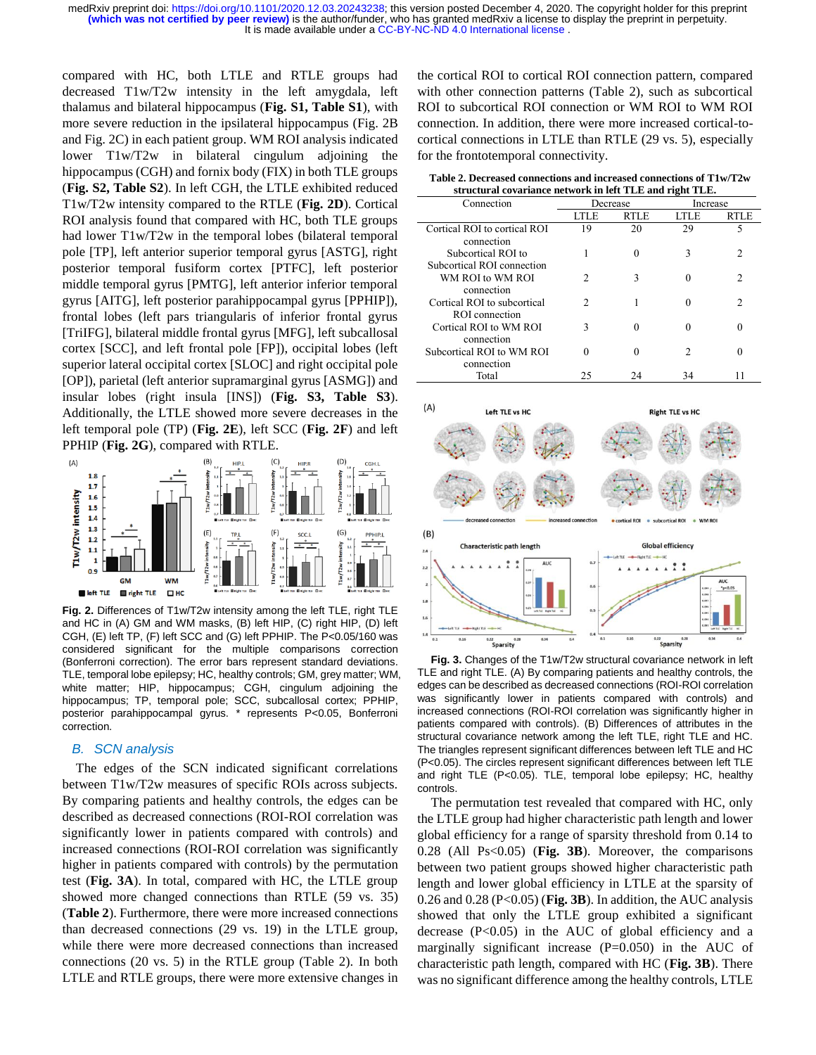compared with HC, both LTLE and RTLE groups had decreased T1w/T2w intensity in the left amygdala, left thalamus and bilateral hippocampus (**Fig. S1, Table S1**), with more severe reduction in the ipsilateral hippocampus (Fig. 2B and Fig. 2C) in each patient group. WM ROI analysis indicated lower T1w/T2w in bilateral cingulum adjoining the hippocampus (CGH) and fornix body (FIX) in both TLE groups (**Fig. S2, Table S2**). In left CGH, the LTLE exhibited reduced T1w/T2w intensity compared to the RTLE (**Fig. 2D**). Cortical ROI analysis found that compared with HC, both TLE groups had lower T1w/T2w in the temporal lobes (bilateral temporal pole [TP], left anterior superior temporal gyrus [ASTG], right posterior temporal fusiform cortex [PTFC], left posterior middle temporal gyrus [PMTG], left anterior inferior temporal gyrus [AITG], left posterior parahippocampal gyrus [PPHIP]), frontal lobes (left pars triangularis of inferior frontal gyrus [TriIFG], bilateral middle frontal gyrus [MFG], left subcallosal cortex [SCC], and left frontal pole [FP]), occipital lobes (left superior lateral occipital cortex [SLOC] and right occipital pole [OP]), parietal (left anterior supramarginal gyrus [ASMG]) and insular lobes (right insula [INS]) (**Fig. S3, Table S3**). Additionally, the LTLE showed more severe decreases in the left temporal pole (TP) (**Fig. 2E**), left SCC (**Fig. 2F**) and left PPHIP (**Fig. 2G**), compared with RTLE.



**Fig. 2.** Differences of T1w/T2w intensity among the left TLE, right TLE and HC in (A) GM and WM masks, (B) left HIP, (C) right HIP, (D) left CGH, (E) left TP, (F) left SCC and (G) left PPHIP. The P<0.05/160 was considered significant for the multiple comparisons correction (Bonferroni correction). The error bars represent standard deviations. TLE, temporal lobe epilepsy; HC, healthy controls; GM, grey matter; WM, white matter; HIP, hippocampus; CGH, cingulum adjoining the hippocampus; TP, temporal pole; SCC, subcallosal cortex; PPHIP, posterior parahippocampal gyrus. \* represents P<0.05, Bonferroni correction.

## *B. SCN analysis*

The edges of the SCN indicated significant correlations between T1w/T2w measures of specific ROIs across subjects. By comparing patients and healthy controls, the edges can be described as decreased connections (ROI-ROI correlation was significantly lower in patients compared with controls) and increased connections (ROI-ROI correlation was significantly higher in patients compared with controls) by the permutation test (**Fig. 3A**). In total, compared with HC, the LTLE group showed more changed connections than RTLE (59 vs. 35) (**Table 2**). Furthermore, there were more increased connections than decreased connections (29 vs. 19) in the LTLE group, while there were more decreased connections than increased connections (20 vs. 5) in the RTLE group (Table 2). In both LTLE and RTLE groups, there were more extensive changes in

the cortical ROI to cortical ROI connection pattern, compared with other connection patterns (Table 2), such as subcortical ROI to subcortical ROI connection or WM ROI to WM ROI connection. In addition, there were more increased cortical-tocortical connections in LTLE than RTLE (29 vs. 5), especially for the frontotemporal connectivity.

**Table 2. Decreased connections and increased connections of T1w/T2w structural covariance network in left TLE and right TLE.**

| Connection                                       | Decrease |             | Increase |      |
|--------------------------------------------------|----------|-------------|----------|------|
|                                                  | LTLE     | <b>RTLE</b> | LTLE     | RTLE |
| Cortical ROI to cortical ROI<br>connection       | 19       | 20          | 29       | 5    |
| Subcortical ROI to<br>Subcortical ROI connection |          |             | 3        |      |
| WM ROI to WM ROI<br>connection                   | 2        |             |          | 2    |
| Cortical ROI to subcortical<br>ROI connection    | 2        |             |          | っ    |
| Cortical ROI to WM ROI<br>connection             | 3        |             |          |      |
| Subcortical ROI to WM ROI                        | 0        |             | 2        |      |
| connection<br>Total                              | 25       | 24          | 34       |      |



**Fig. 3.** Changes of the T1w/T2w structural covariance network in left TLE and right TLE. (A) By comparing patients and healthy controls, the edges can be described as decreased connections (ROI-ROI correlation was significantly lower in patients compared with controls) and increased connections (ROI-ROI correlation was significantly higher in patients compared with controls). (B) Differences of attributes in the structural covariance network among the left TLE, right TLE and HC. The triangles represent significant differences between left TLE and HC (P<0.05). The circles represent significant differences between left TLE and right TLE (P<0.05). TLE, temporal lobe epilepsy; HC, healthy controls.

The permutation test revealed that compared with HC, only the LTLE group had higher characteristic path length and lower global efficiency for a range of sparsity threshold from 0.14 to 0.28 (All Ps<0.05) (**Fig. 3B**). Moreover, the comparisons between two patient groups showed higher characteristic path length and lower global efficiency in LTLE at the sparsity of 0.26 and 0.28 (P<0.05) (**Fig. 3B**). In addition, the AUC analysis showed that only the LTLE group exhibited a significant decrease  $(P<0.05)$  in the AUC of global efficiency and a marginally significant increase  $(P=0.050)$  in the AUC of characteristic path length, compared with HC (**Fig. 3B**). There was no significant difference among the healthy controls, LTLE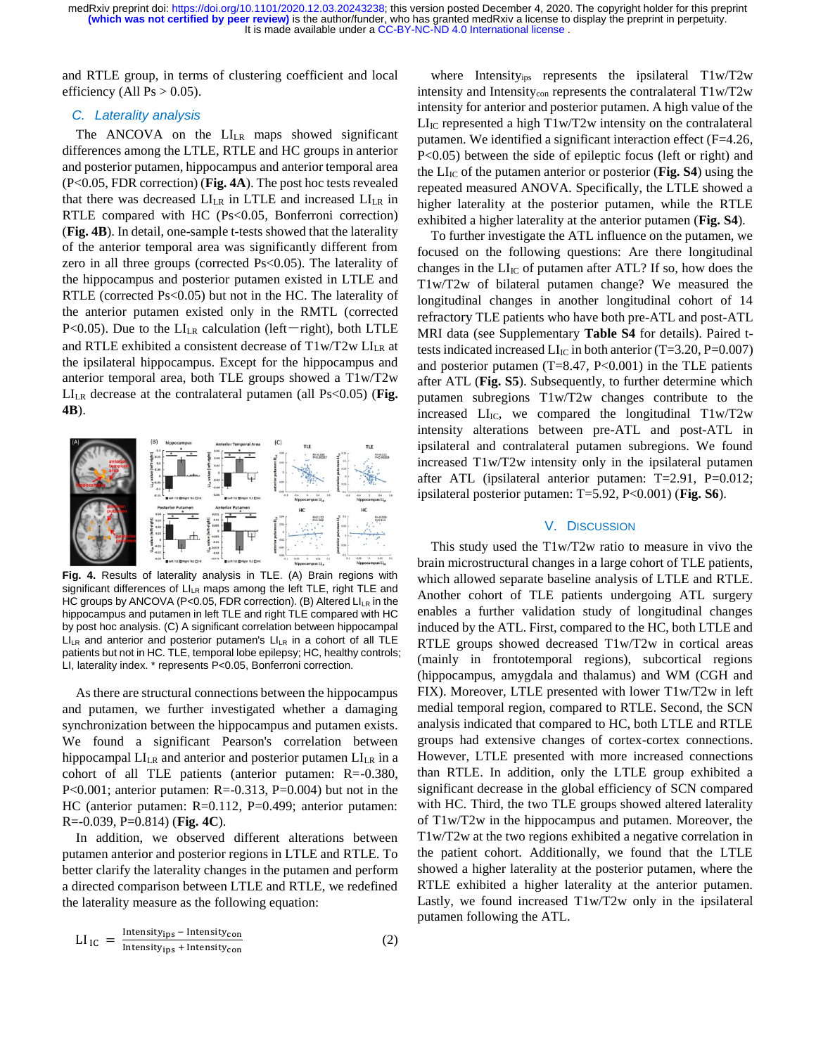and RTLE group, in terms of clustering coefficient and local efficiency (All  $Ps > 0.05$ ).

## *C. Laterality analysis*

The ANCOVA on the LI<sub>LR</sub> maps showed significant differences among the LTLE, RTLE and HC groups in anterior and posterior putamen, hippocampus and anterior temporal area (P<0.05, FDR correction) (**Fig. 4A**). The post hoc tests revealed that there was decreased  $LI_{LR}$  in LTLE and increased  $LI_{LR}$  in RTLE compared with HC (Ps<0.05*,* Bonferroni correction) (**Fig. 4B**). In detail, one-sample t-tests showed that the laterality of the anterior temporal area was significantly different from zero in all three groups (corrected Ps<0.05). The laterality of the hippocampus and posterior putamen existed in LTLE and RTLE (corrected Ps<0.05) but not in the HC. The laterality of the anterior putamen existed only in the RMTL (corrected P<0.05). Due to the  $LI_{LR}$  calculation (left-right), both LTLE and RTLE exhibited a consistent decrease of  $T1w/T2w$  LI<sub>LR</sub> at the ipsilateral hippocampus. Except for the hippocampus and anterior temporal area, both TLE groups showed a T1w/T2w LILR decrease at the contralateral putamen (all Ps<0.05) (**Fig. 4B**).



**Fig. 4.** Results of laterality analysis in TLE. (A) Brain regions with significant differences of LILR maps among the left TLE, right TLE and HC groups by ANCOVA (P<0.05, FDR correction). (B) Altered  $LI_{LR}$  in the hippocampus and putamen in left TLE and right TLE compared with HC by post hoc analysis. (C) A significant correlation between hippocampal  $LI_{LR}$  and anterior and posterior putamen's  $LI_{LR}$  in a cohort of all TLE patients but not in HC. TLE, temporal lobe epilepsy; HC, healthy controls; LI, laterality index. \* represents P<0.05, Bonferroni correction.

As there are structural connections between the hippocampus and putamen, we further investigated whether a damaging synchronization between the hippocampus and putamen exists. We found a significant Pearson's correlation between hippocampal  $LI_{LR}$  and anterior and posterior putamen  $LI_{LR}$  in a cohort of all TLE patients (anterior putamen: R=-0.380, P<0.001; anterior putamen:  $R = 0.313$ , P=0.004) but not in the HC (anterior putamen: R=0.112, P=0.499; anterior putamen: R=-0.039, P=0.814) (**Fig. 4C**).

In addition, we observed different alterations between putamen anterior and posterior regions in LTLE and RTLE. To better clarify the laterality changes in the putamen and perform a directed comparison between LTLE and RTLE, we redefined the laterality measure as the following equation:

$$
LI_{IC} = \frac{Intensity_{ips} - Intensity_{con}}{Intensity_{ips} + Intensity_{con}}
$$
 (2)

where Intensity<sub>ips</sub> represents the ipsilateral T1w/T2w intensity and Intensitycon represents the contralateral T1w/T2w intensity for anterior and posterior putamen. A high value of the  $LI_{IC}$  represented a high T1w/T2w intensity on the contralateral putamen. We identified a significant interaction effect (F=4.26, P<0.05) between the side of epileptic focus (left or right) and the  $LI_{IC}$  of the putamen anterior or posterior (**Fig. S4**) using the repeated measured ANOVA. Specifically, the LTLE showed a higher laterality at the posterior putamen, while the RTLE exhibited a higher laterality at the anterior putamen (**Fig. S4**).

To further investigate the ATL influence on the putamen, we focused on the following questions: Are there longitudinal changes in the  $LI_{IC}$  of putamen after ATL? If so, how does the T1w/T2w of bilateral putamen change? We measured the longitudinal changes in another longitudinal cohort of 14 refractory TLE patients who have both pre-ATL and post-ATL MRI data (see Supplementary **Table S4** for details). Paired ttests indicated increased  $LI<sub>IC</sub>$  in both anterior (T=3.20, P=0.007) and posterior putamen  $(T=8.47, P<0.001)$  in the TLE patients after ATL (**Fig. S5**). Subsequently, to further determine which putamen subregions T1w/T2w changes contribute to the increased  $LI_{IC}$ , we compared the longitudinal  $T1w/T2w$ intensity alterations between pre-ATL and post-ATL in ipsilateral and contralateral putamen subregions. We found increased T1w/T2w intensity only in the ipsilateral putamen after ATL (ipsilateral anterior putamen: T=2.91, P=0.012; ipsilateral posterior putamen: T=5.92, P<0.001) (**Fig. S6**).

## V. DISCUSSION

This study used the T1w/T2w ratio to measure in vivo the brain microstructural changes in a large cohort of TLE patients, which allowed separate baseline analysis of LTLE and RTLE. Another cohort of TLE patients undergoing ATL surgery enables a further validation study of longitudinal changes induced by the ATL. First, compared to the HC, both LTLE and RTLE groups showed decreased T1w/T2w in cortical areas (mainly in frontotemporal regions), subcortical regions (hippocampus, amygdala and thalamus) and WM (CGH and FIX). Moreover, LTLE presented with lower T1w/T2w in left medial temporal region, compared to RTLE. Second, the SCN analysis indicated that compared to HC, both LTLE and RTLE groups had extensive changes of cortex-cortex connections. However, LTLE presented with more increased connections than RTLE. In addition, only the LTLE group exhibited a significant decrease in the global efficiency of SCN compared with HC. Third, the two TLE groups showed altered laterality of T1w/T2w in the hippocampus and putamen. Moreover, the T1w/T2w at the two regions exhibited a negative correlation in the patient cohort. Additionally, we found that the LTLE showed a higher laterality at the posterior putamen, where the RTLE exhibited a higher laterality at the anterior putamen. Lastly, we found increased T1w/T2w only in the ipsilateral putamen following the ATL.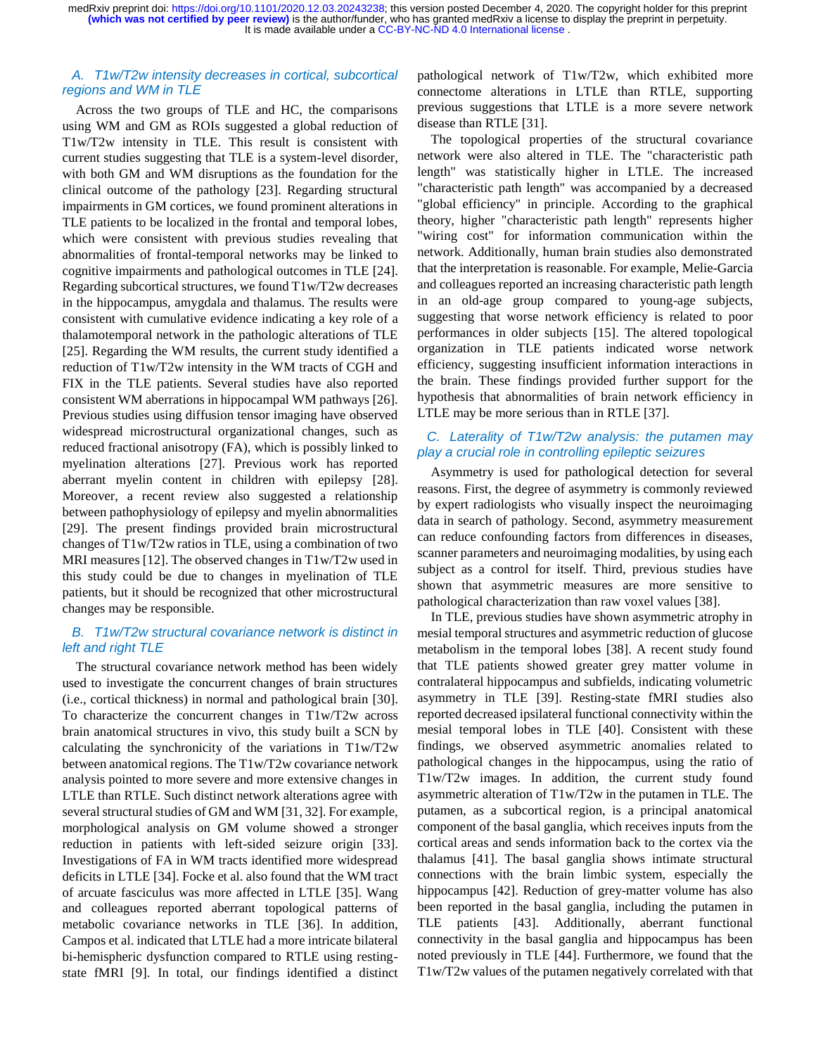## *A. T1w/T2w intensity decreases in cortical, subcortical regions and WM in TLE*

Across the two groups of TLE and HC, the comparisons using WM and GM as ROIs suggested a global reduction of T1w/T2w intensity in TLE. This result is consistent with current studies suggesting that TLE is a system-level disorder, with both GM and WM disruptions as the foundation for the clinical outcome of the pathology [23]. Regarding structural impairments in GM cortices, we found prominent alterations in TLE patients to be localized in the frontal and temporal lobes, which were consistent with previous studies revealing that abnormalities of frontal-temporal networks may be linked to cognitive impairments and pathological outcomes in TLE [24]. Regarding subcortical structures, we found T1w/T2w decreases in the hippocampus, amygdala and thalamus. The results were consistent with cumulative evidence indicating a key role of a thalamotemporal network in the pathologic alterations of TLE [25]. Regarding the WM results, the current study identified a reduction of T1w/T2w intensity in the WM tracts of CGH and FIX in the TLE patients. Several studies have also reported consistent WM aberrations in hippocampal WM pathways [26]. Previous studies using diffusion tensor imaging have observed widespread microstructural organizational changes, such as reduced fractional anisotropy (FA), which is possibly linked to myelination alterations [27]. Previous work has reported aberrant myelin content in children with epilepsy [28]. Moreover, a recent review also suggested a relationship between pathophysiology of epilepsy and myelin abnormalities [29]. The present findings provided brain microstructural changes of T1w/T2w ratios in TLE, using a combination of two MRI measures [12]. The observed changes in T1w/T2w used in this study could be due to changes in myelination of TLE patients, but it should be recognized that other microstructural changes may be responsible.

## *B. T1w/T2w structural covariance network is distinct in left and right TLE*

The structural covariance network method has been widely used to investigate the concurrent changes of brain structures (i.e., cortical thickness) in normal and pathological brain [30]. To characterize the concurrent changes in T1w/T2w across brain anatomical structures in vivo, this study built a SCN by calculating the synchronicity of the variations in T1w/T2w between anatomical regions. The T1w/T2w covariance network analysis pointed to more severe and more extensive changes in LTLE than RTLE. Such distinct network alterations agree with several structural studies of GM and WM [31, 32]. For example, morphological analysis on GM volume showed a stronger reduction in patients with left-sided seizure origin [33]. Investigations of FA in WM tracts identified more widespread deficits in LTLE [34]. Focke et al. also found that the WM tract of arcuate fasciculus was more affected in LTLE [35]. Wang and colleagues reported aberrant topological patterns of metabolic covariance networks in TLE [36]. In addition, Campos et al. indicated that LTLE had a more intricate bilateral bi-hemispheric dysfunction compared to RTLE using restingstate fMRI [9]. In total, our findings identified a distinct

pathological network of T1w/T2w, which exhibited more connectome alterations in LTLE than RTLE, supporting previous suggestions that LTLE is a more severe network disease than RTLE [31].

The topological properties of the structural covariance network were also altered in TLE. The "characteristic path length" was statistically higher in LTLE. The increased "characteristic path length" was accompanied by a decreased "global efficiency" in principle. According to the graphical theory, higher "characteristic path length" represents higher "wiring cost" for information communication within the network. Additionally, human brain studies also demonstrated that the interpretation is reasonable. For example, Melie-Garcia and colleagues reported an increasing characteristic path length in an old-age group compared to young-age subjects, suggesting that worse network efficiency is related to poor performances in older subjects [15]. The altered topological organization in TLE patients indicated worse network efficiency, suggesting insufficient information interactions in the brain. These findings provided further support for the hypothesis that abnormalities of brain network efficiency in LTLE may be more serious than in RTLE [37].

# *C. Laterality of T1w/T2w analysis: the putamen may play a crucial role in controlling epileptic seizures*

Asymmetry is used for pathological detection for several reasons. First, the degree of asymmetry is commonly reviewed by expert radiologists who visually inspect the neuroimaging data in search of pathology. Second, asymmetry measurement can reduce confounding factors from differences in diseases, scanner parameters and neuroimaging modalities, by using each subject as a control for itself. Third, previous studies have shown that asymmetric measures are more sensitive to pathological characterization than raw voxel values [38].

In TLE, previous studies have shown asymmetric atrophy in mesial temporal structures and asymmetric reduction of glucose metabolism in the temporal lobes [38]. A recent study found that TLE patients showed greater grey matter volume in contralateral hippocampus and subfields, indicating volumetric asymmetry in TLE [39]. Resting-state fMRI studies also reported decreased ipsilateral functional connectivity within the mesial temporal lobes in TLE [40]. Consistent with these findings, we observed asymmetric anomalies related to pathological changes in the hippocampus, using the ratio of T1w/T2w images. In addition, the current study found asymmetric alteration of T1w/T2w in the putamen in TLE. The putamen, as a subcortical region, is a principal anatomical component of the basal ganglia, which receives inputs from the cortical areas and sends information back to the cortex via the thalamus [41]. The basal ganglia shows intimate structural connections with the brain limbic system, especially the hippocampus [42]. Reduction of grey-matter volume has also been reported in the basal ganglia, including the putamen in TLE patients [43]. Additionally, aberrant functional connectivity in the basal ganglia and hippocampus has been noted previously in TLE [44]. Furthermore, we found that the T1w/T2w values of the putamen negatively correlated with that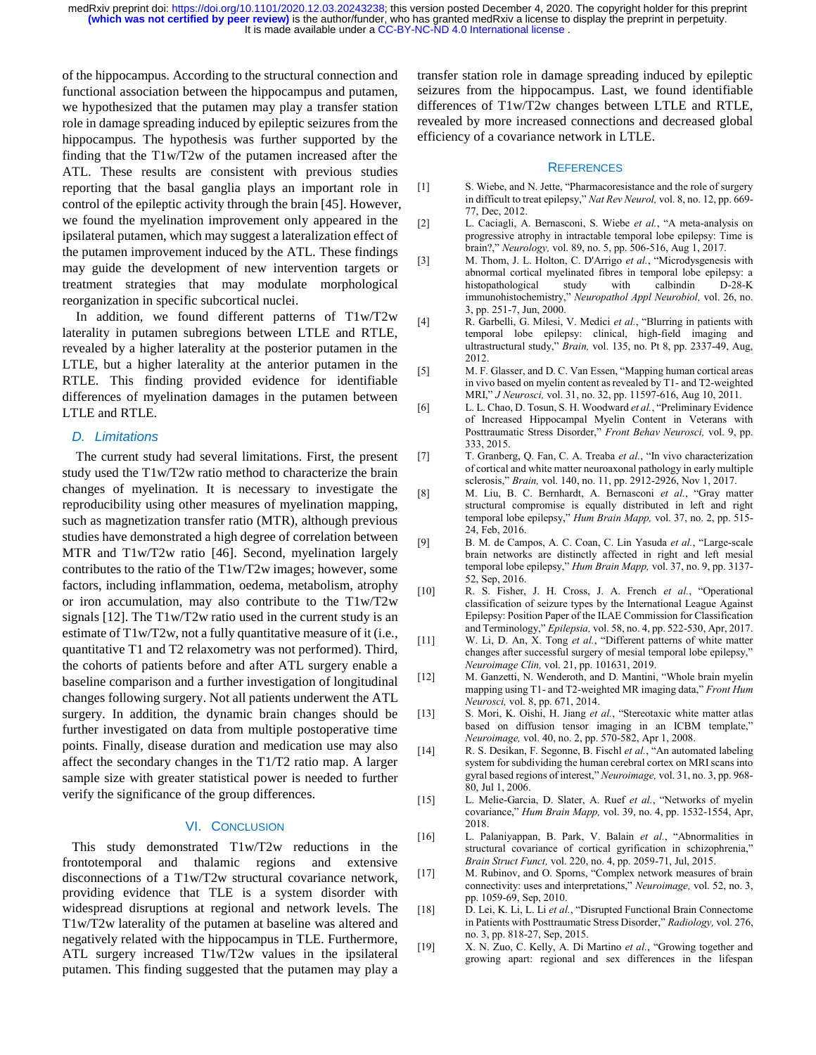of the hippocampus. According to the structural connection and functional association between the hippocampus and putamen, we hypothesized that the putamen may play a transfer station role in damage spreading induced by epileptic seizures from the hippocampus. The hypothesis was further supported by the finding that the T1w/T2w of the putamen increased after the ATL. These results are consistent with previous studies reporting that the basal ganglia plays an important role in control of the epileptic activity through the brain [45]. However, we found the myelination improvement only appeared in the ipsilateral putamen, which may suggest a lateralization effect of the putamen improvement induced by the ATL. These findings may guide the development of new intervention targets or treatment strategies that may modulate morphological reorganization in specific subcortical nuclei.

In addition, we found different patterns of T1w/T2w laterality in putamen subregions between LTLE and RTLE, revealed by a higher laterality at the posterior putamen in the LTLE, but a higher laterality at the anterior putamen in the RTLE. This finding provided evidence for identifiable differences of myelination damages in the putamen between LTLE and RTLE.

## *D. Limitations*

The current study had several limitations. First, the present study used the T1w/T2w ratio method to characterize the brain changes of myelination. It is necessary to investigate the reproducibility using other measures of myelination mapping, such as magnetization transfer ratio (MTR), although previous studies have demonstrated a high degree of correlation between MTR and T1w/T2w ratio [46]. Second, myelination largely contributes to the ratio of the T1w/T2w images; however, some factors, including inflammation, oedema, metabolism, [atrophy](http://dict.youdao.com/w/atrophy/#keyfrom=E2Ctranslation) or iron accumulation, may also contribute to the T1w/T2w signals [12]. The T1w/T2w ratio used in the current study is an estimate of T1w/T2w, not a fully quantitative measure of it (i.e., quantitative T1 and T2 relaxometry was not performed). Third, the cohorts of patients before and after ATL surgery enable a baseline comparison and a further investigation of longitudinal changes following surgery. Not all patients underwent the ATL surgery. In addition, the dynamic brain changes should be further investigated on data from multiple postoperative time points. Finally, disease duration and medication use may also affect the secondary changes in the T1/T2 ratio map. A larger sample size with greater statistical power is needed to further verify the significance of the group differences.

#### VI. CONCLUSION

This study demonstrated T1w/T2w reductions in the frontotemporal and thalamic regions and extensive disconnections of a T1w/T2w structural covariance network, providing evidence that TLE is a system disorder with widespread disruptions at regional and network levels. The T1w/T2w laterality of the putamen at baseline was altered and negatively related with the hippocampus in TLE. Furthermore, ATL surgery increased T1w/T2w values in the ipsilateral putamen. This finding suggested that the putamen may play a

transfer station role in damage spreading induced by epileptic seizures from the hippocampus. Last, we found identifiable differences of T1w/T2w changes between LTLE and RTLE, revealed by more increased connections and decreased global efficiency of a covariance network in LTLE.

#### **REFERENCES**

- [1] S. Wiebe, and N. Jette, "Pharmacoresistance and the role of surgery in difficult to treat epilepsy," *Nat Rev Neurol,* vol. 8, no. 12, pp. 669- 77, Dec, 2012.
- [2] L. Caciagli, A. Bernasconi, S. Wiebe *et al.*, "A meta-analysis on progressive atrophy in intractable temporal lobe epilepsy: Time is brain?," *Neurology,* vol. 89, no. 5, pp. 506-516, Aug 1, 2017.
- [3] M. Thom, J. L. Holton, C. D'Arrigo *et al.*, "Microdysgenesis with abnormal cortical myelinated fibres in temporal lobe epilepsy: a histopathological study with calbindin D-28-K immunohistochemistry," *Neuropathol Appl Neurobiol,* vol. 26, no. 3, pp. 251-7, Jun, 2000.
- [4] R. Garbelli, G. Milesi, V. Medici *et al.*, "Blurring in patients with temporal lobe epilepsy: clinical, high-field imaging and ultrastructural study," *Brain,* vol. 135, no. Pt 8, pp. 2337-49, Aug, 2012.
- [5] M. F. Glasser, and D. C. Van Essen, "Mapping human cortical areas in vivo based on myelin content as revealed by T1- and T2-weighted MRI," *J Neurosci,* vol. 31, no. 32, pp. 11597-616, Aug 10, 2011.
- [6] L. L. Chao, D. Tosun, S. H. Woodward *et al.*, "Preliminary Evidence of Increased Hippocampal Myelin Content in Veterans with Posttraumatic Stress Disorder," *Front Behav Neurosci,* vol. 9, pp. 333, 2015.
- [7] T. Granberg, Q. Fan, C. A. Treaba *et al.*, "In vivo characterization of cortical and white matter neuroaxonal pathology in early multiple sclerosis," *Brain,* vol. 140, no. 11, pp. 2912-2926, Nov 1, 2017.
- [8] M. Liu, B. C. Bernhardt, A. Bernasconi *et al.*, "Gray matter structural compromise is equally distributed in left and right temporal lobe epilepsy," *Hum Brain Mapp,* vol. 37, no. 2, pp. 515- 24, Feb, 2016.
- [9] B. M. de Campos, A. C. Coan, C. Lin Yasuda *et al.*, "Large-scale brain networks are distinctly affected in right and left mesial temporal lobe epilepsy," *Hum Brain Mapp,* vol. 37, no. 9, pp. 3137- 52, Sep, 2016.
- [10] R. S. Fisher, J. H. Cross, J. A. French *et al.*, "Operational classification of seizure types by the International League Against Epilepsy: Position Paper of the ILAE Commission for Classification and Terminology," *Epilepsia,* vol. 58, no. 4, pp. 522-530, Apr, 2017.
- [11] W. Li, D. An, X. Tong *et al.*, "Different patterns of white matter changes after successful surgery of mesial temporal lobe epilepsy," *Neuroimage Clin,* vol. 21, pp. 101631, 2019.
- [12] M. Ganzetti, N. Wenderoth, and D. Mantini, "Whole brain myelin mapping using T1- and T2-weighted MR imaging data," *Front Hum Neurosci,* vol. 8, pp. 671, 2014.
- [13] S. Mori, K. Oishi, H. Jiang *et al.*, "Stereotaxic white matter atlas based on diffusion tensor imaging in an ICBM template," *Neuroimage,* vol. 40, no. 2, pp. 570-582, Apr 1, 2008.
- [14] R. S. Desikan, F. Segonne, B. Fischl *et al.*, "An automated labeling system for subdividing the human cerebral cortex on MRI scans into gyral based regions of interest," *Neuroimage,* vol. 31, no. 3, pp. 968- 80, Jul 1, 2006.
- [15] L. Melie-Garcia, D. Slater, A. Ruef *et al.*, "Networks of myelin covariance," *Hum Brain Mapp,* vol. 39, no. 4, pp. 1532-1554, Apr, 2018.
- [16] L. Palaniyappan, B. Park, V. Balain *et al.*, "Abnormalities in structural covariance of cortical gyrification in schizophrenia," *Brain Struct Funct,* vol. 220, no. 4, pp. 2059-71, Jul, 2015.
- [17] M. Rubinov, and O. Sporns, "Complex network measures of brain connectivity: uses and interpretations," *Neuroimage,* vol. 52, no. 3, pp. 1059-69, Sep, 2010.
- [18] D. Lei, K. Li, L. Li *et al.*, "Disrupted Functional Brain Connectome in Patients with Posttraumatic Stress Disorder," *Radiology,* vol. 276, no. 3, pp. 818-27, Sep, 2015.
- [19] X. N. Zuo, C. Kelly, A. Di Martino *et al.*, "Growing together and growing apart: regional and sex differences in the lifespan